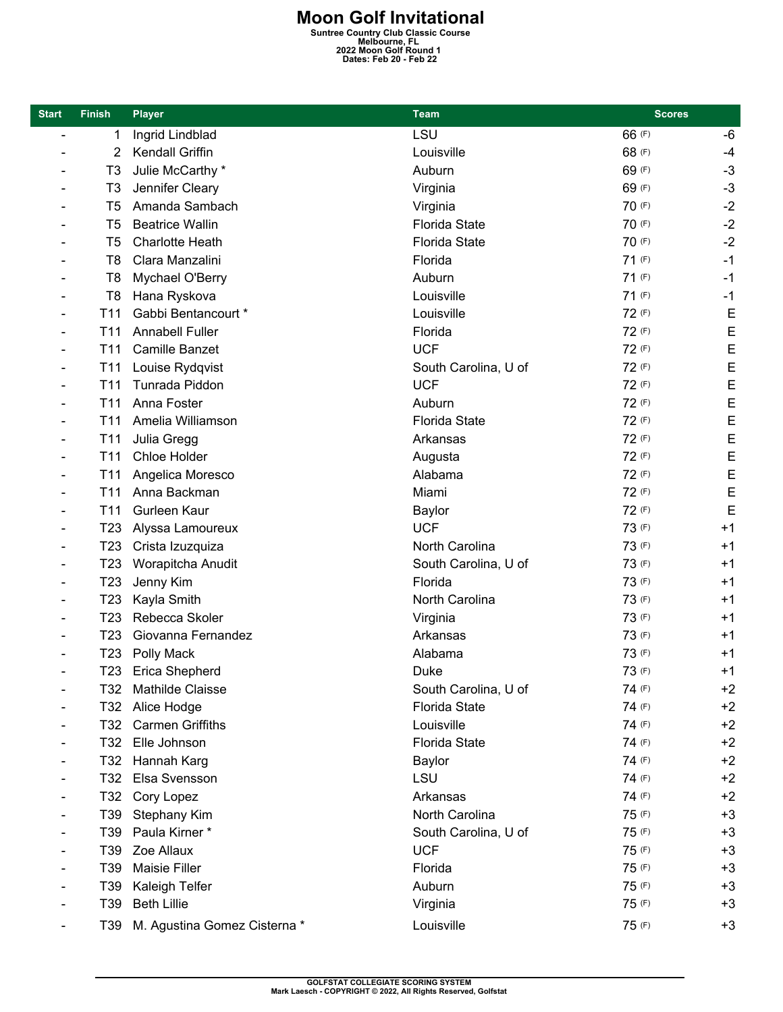**Moon Golf Invitational**<br>
Suntree Country Club Classic Course<br>
2022 Moon Golf Round 1<br>
Dates: Feb 20 - Feb 22

| <b>Start</b>             | <b>Finish</b>   | <b>Player</b>                | <b>Team</b>          | <b>Scores</b> |      |
|--------------------------|-----------------|------------------------------|----------------------|---------------|------|
| $\overline{\phantom{a}}$ | 1               | Ingrid Lindblad              | LSU                  | 66 (F)        | -6   |
|                          | 2               | Kendall Griffin              | Louisville           | 68 (F)        | $-4$ |
|                          | T <sub>3</sub>  | Julie McCarthy *             | Auburn               | 69 (F)        | $-3$ |
|                          | T <sub>3</sub>  | Jennifer Cleary              | Virginia             | 69 (F)        | $-3$ |
|                          | T <sub>5</sub>  | Amanda Sambach               | Virginia             | 70 (F)        | $-2$ |
|                          | T <sub>5</sub>  | <b>Beatrice Wallin</b>       | <b>Florida State</b> | 70 (F)        | $-2$ |
|                          | T <sub>5</sub>  | <b>Charlotte Heath</b>       | <b>Florida State</b> | 70 (F)        | $-2$ |
|                          | T <sub>8</sub>  | Clara Manzalini              | Florida              | 71(F)         | $-1$ |
|                          | T <sub>8</sub>  | Mychael O'Berry              | Auburn               | 71(F)         | $-1$ |
|                          | T <sub>8</sub>  | Hana Ryskova                 | Louisville           | 71(F)         | $-1$ |
|                          | T <sub>11</sub> | Gabbi Bentancourt *          | Louisville           | 72 (F)        | E    |
|                          | T <sub>11</sub> | <b>Annabell Fuller</b>       | Florida              | 72 (F)        | E    |
|                          | T <sub>11</sub> | <b>Camille Banzet</b>        | <b>UCF</b>           | 72 (F)        | E    |
|                          | T11             | Louise Rydqvist              | South Carolina, U of | 72 (F)        | E    |
|                          | T <sub>11</sub> | Tunrada Piddon               | <b>UCF</b>           | 72 (F)        | E    |
|                          | T11             | Anna Foster                  | Auburn               | 72 (F)        | E    |
|                          | T11             | Amelia Williamson            | <b>Florida State</b> | 72 (F)        | E    |
|                          | T <sub>11</sub> | Julia Gregg                  | Arkansas             | 72 (F)        | E    |
|                          | T <sub>11</sub> | Chloe Holder                 | Augusta              | 72 (F)        | E    |
|                          | T <sub>11</sub> | Angelica Moresco             | Alabama              | 72 (F)        | E    |
|                          | T <sub>11</sub> | Anna Backman                 | Miami                | 72 (F)        | E    |
|                          | T11             | Gurleen Kaur                 | <b>Baylor</b>        | 72 (F)        | E    |
|                          | T <sub>23</sub> | Alyssa Lamoureux             | <b>UCF</b>           | 73 (F)        | $+1$ |
|                          | T <sub>23</sub> | Crista Izuzquiza             | North Carolina       | 73 (F)        | $+1$ |
|                          | T <sub>23</sub> | Worapitcha Anudit            | South Carolina, U of | 73 (F)        | $+1$ |
|                          | T <sub>23</sub> | Jenny Kim                    | Florida              | 73 (F)        | $+1$ |
|                          | T <sub>23</sub> | Kayla Smith                  | North Carolina       | 73 (F)        | $+1$ |
|                          | T <sub>23</sub> | Rebecca Skoler               | Virginia             | 73 (F)        | $+1$ |
|                          | T <sub>23</sub> | Giovanna Fernandez           | Arkansas             | 73 (F)        | $+1$ |
|                          | T <sub>23</sub> | Polly Mack                   | Alabama              | 73 (F)        | $+1$ |
|                          |                 | T23 Erica Shepherd           | Duke                 | 73 (F)        | $+1$ |
|                          |                 | T32 Mathilde Claisse         | South Carolina, U of | 74 (F)        | $+2$ |
|                          | T32             | Alice Hodge                  | <b>Florida State</b> | 74 (F)        | $+2$ |
|                          | T32             | <b>Carmen Griffiths</b>      | Louisville           | 74 (F)        | $+2$ |
|                          |                 | T32 Elle Johnson             | <b>Florida State</b> | 74 (F)        | $+2$ |
|                          |                 | T32 Hannah Karg              | Baylor               | 74 (F)        | $+2$ |
|                          | T32             | Elsa Svensson                | LSU                  | 74 (F)        | $+2$ |
|                          |                 | T32 Cory Lopez               | Arkansas             | 74 (F)        | $+2$ |
|                          | T39             | Stephany Kim                 | North Carolina       | 75 (F)        | $+3$ |
|                          | T39             | Paula Kirner*                | South Carolina, U of | 75 (F)        | $+3$ |
|                          | T39             | Zoe Allaux                   | <b>UCF</b>           | 75 (F)        | $+3$ |
|                          | T39             | Maisie Filler                | Florida              | 75 (F)        | $+3$ |
|                          | T39             | Kaleigh Telfer               | Auburn               | 75 (F)        | $+3$ |
|                          | T39             | <b>Beth Lillie</b>           | Virginia             | 75 (F)        | $+3$ |
|                          | T39 I           | M. Agustina Gomez Cisterna * | Louisville           | 75 (F)        | $+3$ |